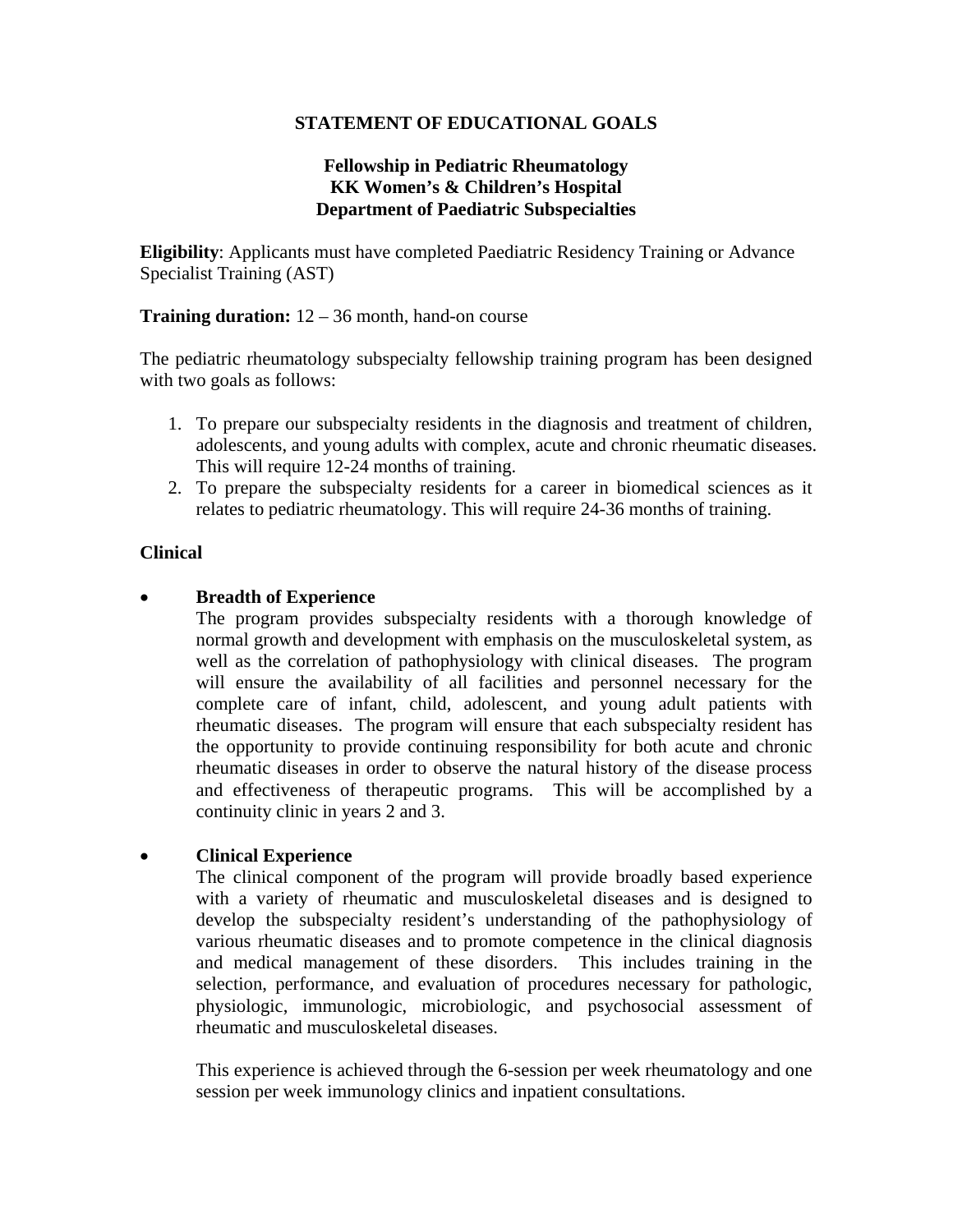## **STATEMENT OF EDUCATIONAL GOALS**

#### **Fellowship in Pediatric Rheumatology KK Women's & Children's Hospital Department of Paediatric Subspecialties**

**Eligibility**: Applicants must have completed Paediatric Residency Training or Advance Specialist Training (AST)

#### **Training duration:**  $12 - 36$  month, hand-on course

The pediatric rheumatology subspecialty fellowship training program has been designed with two goals as follows:

- 1. To prepare our subspecialty residents in the diagnosis and treatment of children, adolescents, and young adults with complex, acute and chronic rheumatic diseases. This will require 12-24 months of training.
- 2. To prepare the subspecialty residents for a career in biomedical sciences as it relates to pediatric rheumatology. This will require 24-36 months of training.

#### **Clinical**

## • **Breadth of Experience**

The program provides subspecialty residents with a thorough knowledge of normal growth and development with emphasis on the musculoskeletal system, as well as the correlation of pathophysiology with clinical diseases. The program will ensure the availability of all facilities and personnel necessary for the complete care of infant, child, adolescent, and young adult patients with rheumatic diseases. The program will ensure that each subspecialty resident has the opportunity to provide continuing responsibility for both acute and chronic rheumatic diseases in order to observe the natural history of the disease process and effectiveness of therapeutic programs. This will be accomplished by a continuity clinic in years 2 and 3.

#### • **Clinical Experience**

The clinical component of the program will provide broadly based experience with a variety of rheumatic and musculoskeletal diseases and is designed to develop the subspecialty resident's understanding of the pathophysiology of various rheumatic diseases and to promote competence in the clinical diagnosis and medical management of these disorders. This includes training in the selection, performance, and evaluation of procedures necessary for pathologic, physiologic, immunologic, microbiologic, and psychosocial assessment of rheumatic and musculoskeletal diseases.

This experience is achieved through the 6-session per week rheumatology and one session per week immunology clinics and inpatient consultations.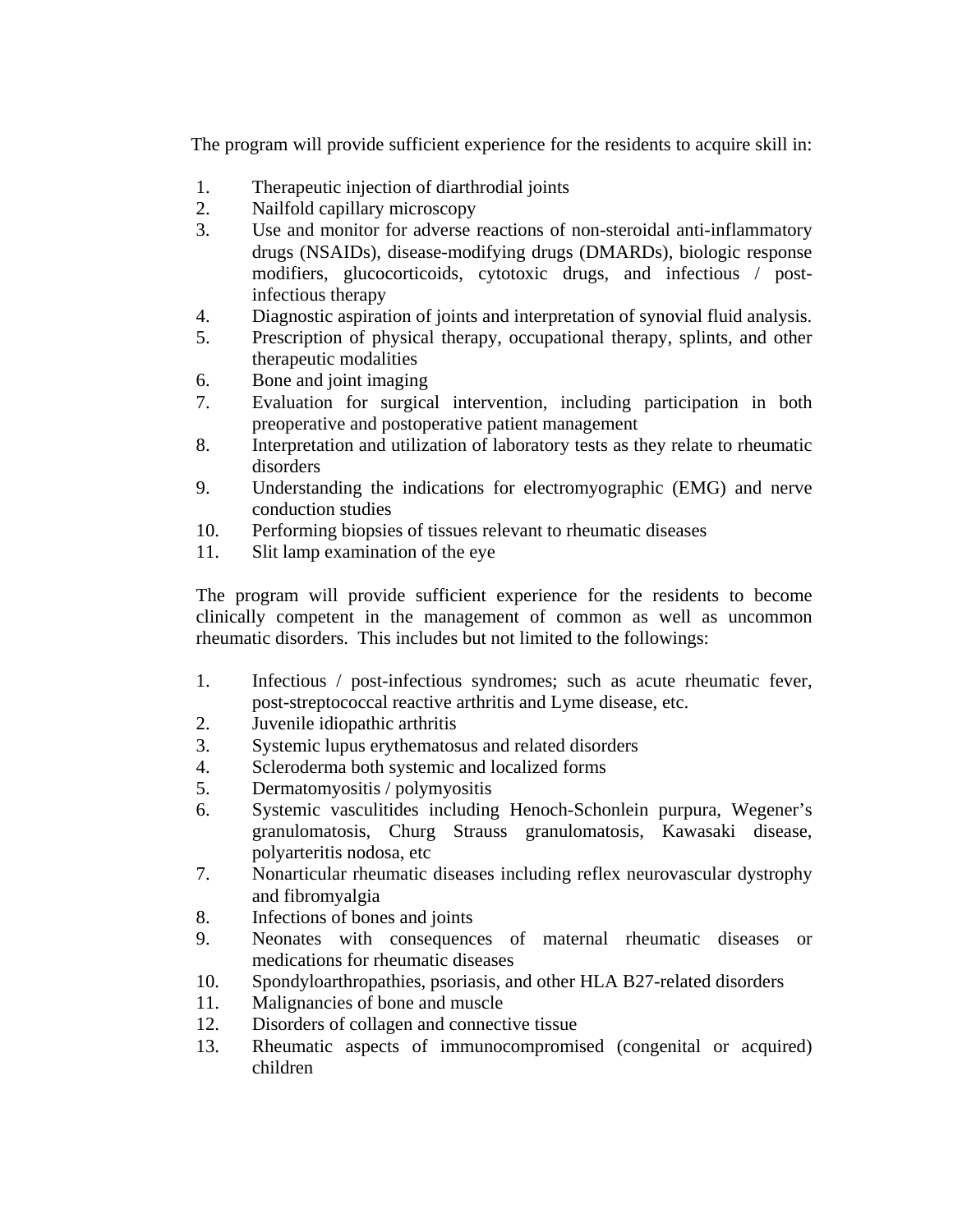The program will provide sufficient experience for the residents to acquire skill in:

- 1. Therapeutic injection of diarthrodial joints
- 2. Nailfold capillary microscopy
- 3. Use and monitor for adverse reactions of non-steroidal anti-inflammatory drugs (NSAIDs), disease-modifying drugs (DMARDs), biologic response modifiers, glucocorticoids, cytotoxic drugs, and infectious / postinfectious therapy
- 4. Diagnostic aspiration of joints and interpretation of synovial fluid analysis.
- 5. Prescription of physical therapy, occupational therapy, splints, and other therapeutic modalities
- 6. Bone and joint imaging
- 7. Evaluation for surgical intervention, including participation in both preoperative and postoperative patient management
- 8. Interpretation and utilization of laboratory tests as they relate to rheumatic disorders
- 9. Understanding the indications for electromyographic (EMG) and nerve conduction studies
- 10. Performing biopsies of tissues relevant to rheumatic diseases
- 11. Slit lamp examination of the eye

The program will provide sufficient experience for the residents to become clinically competent in the management of common as well as uncommon rheumatic disorders. This includes but not limited to the followings:

- 1. Infectious / post-infectious syndromes; such as acute rheumatic fever, post-streptococcal reactive arthritis and Lyme disease, etc.
- 2. Juvenile idiopathic arthritis
- 3. Systemic lupus erythematosus and related disorders
- 4. Scleroderma both systemic and localized forms
- 5. Dermatomyositis / polymyositis
- 6. Systemic vasculitides including Henoch-Schonlein purpura, Wegener's granulomatosis, Churg Strauss granulomatosis, Kawasaki disease, polyarteritis nodosa, etc
- 7. Nonarticular rheumatic diseases including reflex neurovascular dystrophy and fibromyalgia
- 8. Infections of bones and joints
- 9. Neonates with consequences of maternal rheumatic diseases or medications for rheumatic diseases
- 10. Spondyloarthropathies, psoriasis, and other HLA B27-related disorders
- 11. Malignancies of bone and muscle
- 12. Disorders of collagen and connective tissue
- 13. Rheumatic aspects of immunocompromised (congenital or acquired) children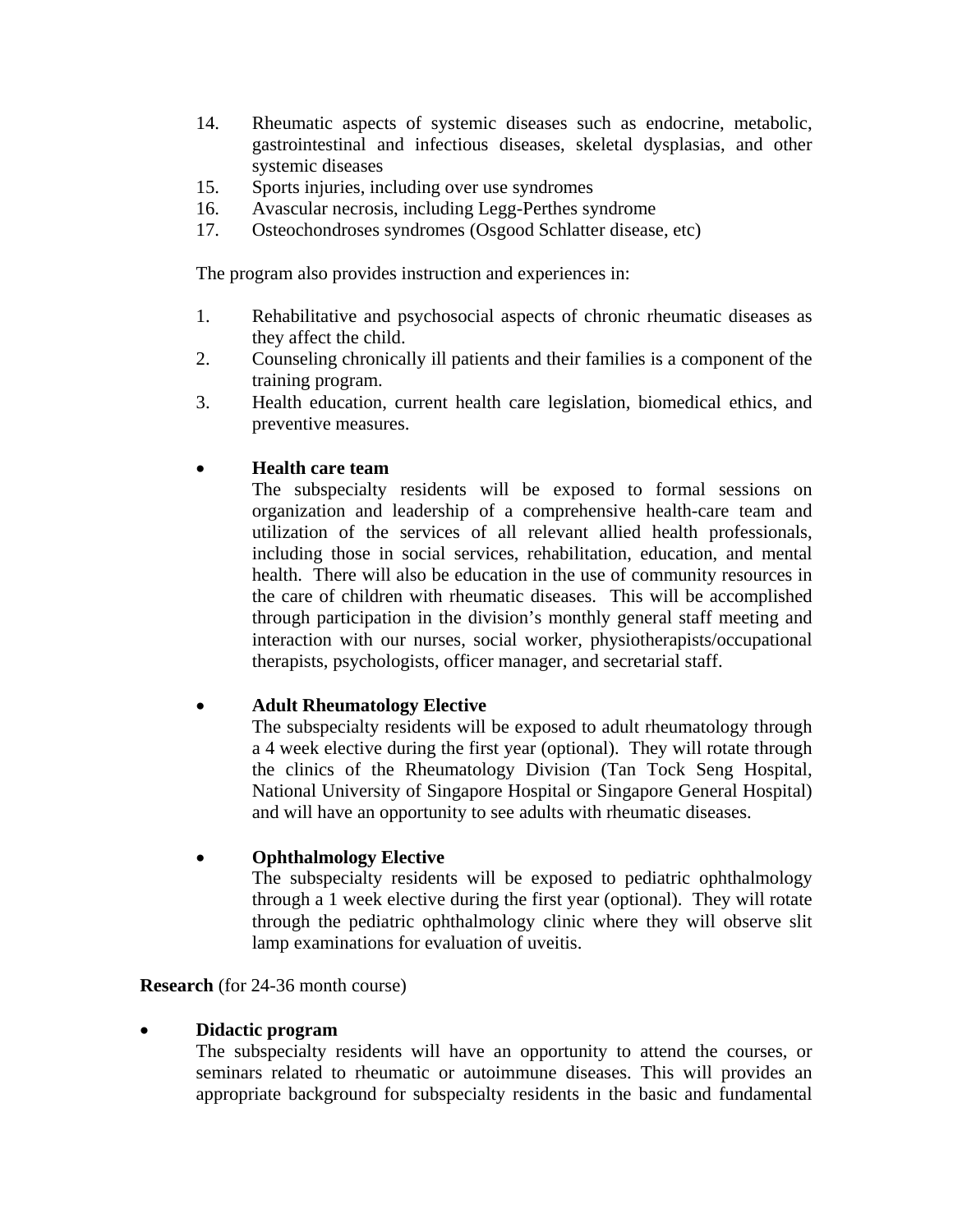- 14. Rheumatic aspects of systemic diseases such as endocrine, metabolic, gastrointestinal and infectious diseases, skeletal dysplasias, and other systemic diseases
- 15. Sports injuries, including over use syndromes
- 16. Avascular necrosis, including Legg-Perthes syndrome
- 17. Osteochondroses syndromes (Osgood Schlatter disease, etc)

The program also provides instruction and experiences in:

- 1. Rehabilitative and psychosocial aspects of chronic rheumatic diseases as they affect the child.
- 2. Counseling chronically ill patients and their families is a component of the training program.
- 3. Health education, current health care legislation, biomedical ethics, and preventive measures.

## • **Health care team**

The subspecialty residents will be exposed to formal sessions on organization and leadership of a comprehensive health-care team and utilization of the services of all relevant allied health professionals, including those in social services, rehabilitation, education, and mental health. There will also be education in the use of community resources in the care of children with rheumatic diseases. This will be accomplished through participation in the division's monthly general staff meeting and interaction with our nurses, social worker, physiotherapists/occupational therapists, psychologists, officer manager, and secretarial staff.

#### • **Adult Rheumatology Elective**

The subspecialty residents will be exposed to adult rheumatology through a 4 week elective during the first year (optional). They will rotate through the clinics of the Rheumatology Division (Tan Tock Seng Hospital, National University of Singapore Hospital or Singapore General Hospital) and will have an opportunity to see adults with rheumatic diseases.

#### • **Ophthalmology Elective**

The subspecialty residents will be exposed to pediatric ophthalmology through a 1 week elective during the first year (optional). They will rotate through the pediatric ophthalmology clinic where they will observe slit lamp examinations for evaluation of uveitis.

**Research** (for 24-36 month course)

#### • **Didactic program**

The subspecialty residents will have an opportunity to attend the courses, or seminars related to rheumatic or autoimmune diseases. This will provides an appropriate background for subspecialty residents in the basic and fundamental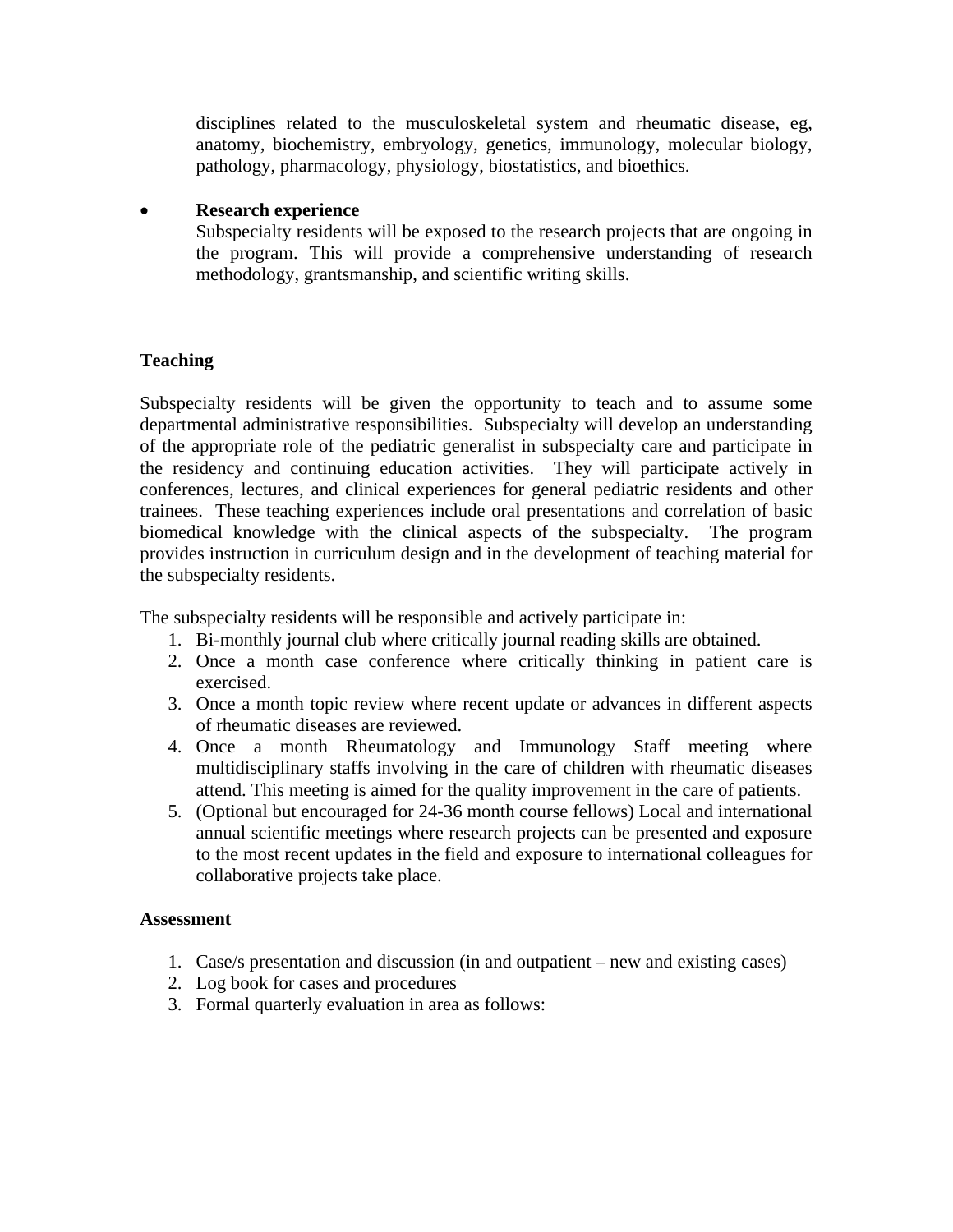disciplines related to the musculoskeletal system and rheumatic disease, eg, anatomy, biochemistry, embryology, genetics, immunology, molecular biology, pathology, pharmacology, physiology, biostatistics, and bioethics.

#### • **Research experience**

Subspecialty residents will be exposed to the research projects that are ongoing in the program. This will provide a comprehensive understanding of research methodology, grantsmanship, and scientific writing skills.

# **Teaching**

Subspecialty residents will be given the opportunity to teach and to assume some departmental administrative responsibilities. Subspecialty will develop an understanding of the appropriate role of the pediatric generalist in subspecialty care and participate in the residency and continuing education activities. They will participate actively in conferences, lectures, and clinical experiences for general pediatric residents and other trainees. These teaching experiences include oral presentations and correlation of basic biomedical knowledge with the clinical aspects of the subspecialty. The program provides instruction in curriculum design and in the development of teaching material for the subspecialty residents.

The subspecialty residents will be responsible and actively participate in:

- 1. Bi-monthly journal club where critically journal reading skills are obtained.
- 2. Once a month case conference where critically thinking in patient care is exercised.
- 3. Once a month topic review where recent update or advances in different aspects of rheumatic diseases are reviewed.
- 4. Once a month Rheumatology and Immunology Staff meeting where multidisciplinary staffs involving in the care of children with rheumatic diseases attend. This meeting is aimed for the quality improvement in the care of patients.
- 5. (Optional but encouraged for 24-36 month course fellows) Local and international annual scientific meetings where research projects can be presented and exposure to the most recent updates in the field and exposure to international colleagues for collaborative projects take place.

#### **Assessment**

- 1. Case/s presentation and discussion (in and outpatient new and existing cases)
- 2. Log book for cases and procedures
- 3. Formal quarterly evaluation in area as follows: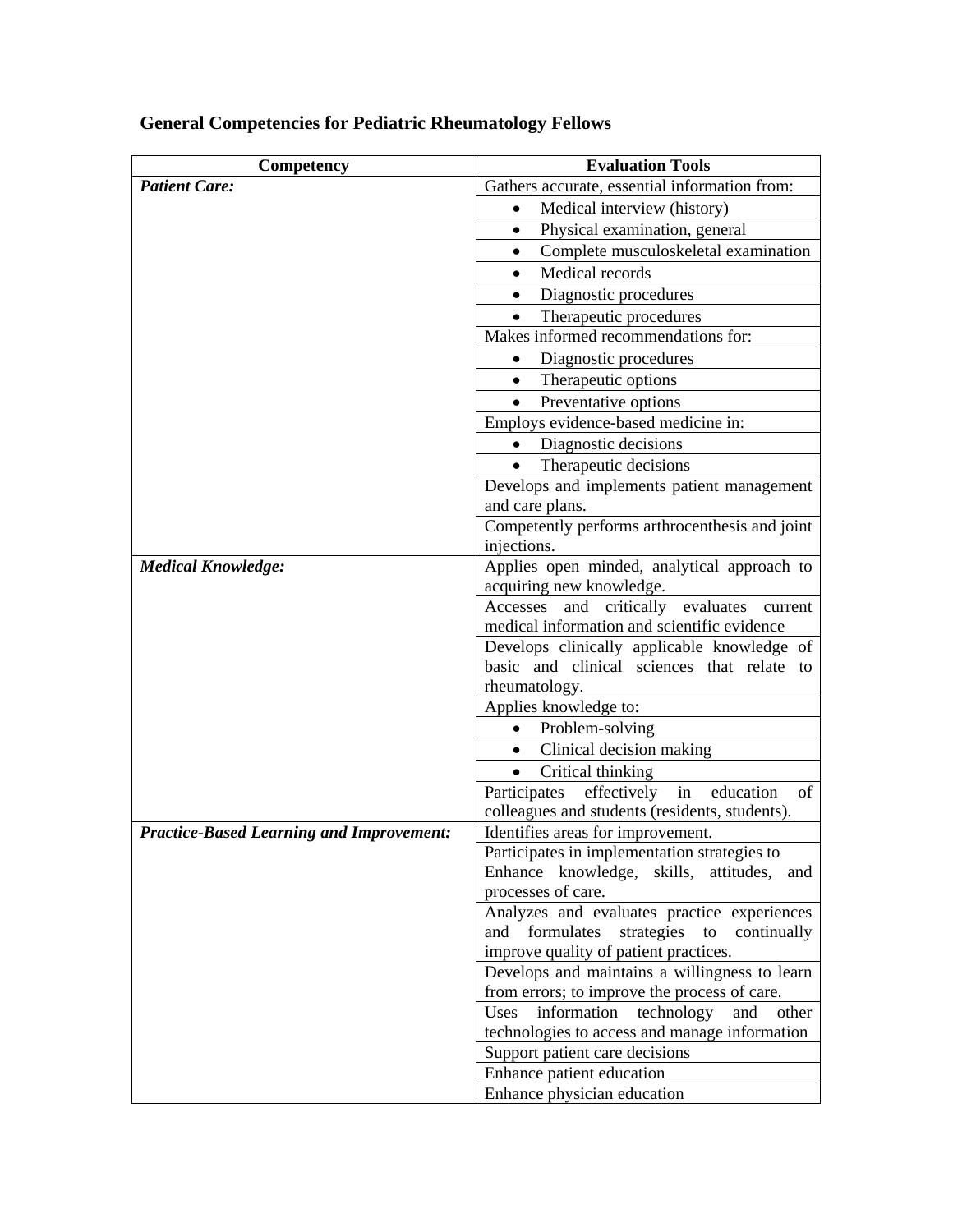| Competency                                      | <b>Evaluation Tools</b>                                                                   |
|-------------------------------------------------|-------------------------------------------------------------------------------------------|
| <b>Patient Care:</b>                            | Gathers accurate, essential information from:                                             |
|                                                 | Medical interview (history)<br>$\bullet$                                                  |
|                                                 | Physical examination, general<br>$\bullet$                                                |
|                                                 | Complete musculoskeletal examination                                                      |
|                                                 | Medical records                                                                           |
|                                                 | Diagnostic procedures<br>$\bullet$                                                        |
|                                                 | Therapeutic procedures                                                                    |
|                                                 | Makes informed recommendations for:                                                       |
|                                                 | Diagnostic procedures<br>$\bullet$                                                        |
|                                                 | Therapeutic options<br>$\bullet$                                                          |
|                                                 | Preventative options                                                                      |
|                                                 | Employs evidence-based medicine in:                                                       |
|                                                 | Diagnostic decisions<br>$\bullet$                                                         |
|                                                 | Therapeutic decisions<br>$\bullet$                                                        |
|                                                 | Develops and implements patient management                                                |
|                                                 | and care plans.                                                                           |
|                                                 | Competently performs arthrocenthesis and joint<br>injections.                             |
| <b>Medical Knowledge:</b>                       | Applies open minded, analytical approach to                                               |
|                                                 | acquiring new knowledge.                                                                  |
|                                                 | Accesses and critically evaluates current                                                 |
|                                                 | medical information and scientific evidence                                               |
|                                                 | Develops clinically applicable knowledge of<br>basic and clinical sciences that relate to |
|                                                 | rheumatology.                                                                             |
|                                                 | Applies knowledge to:                                                                     |
|                                                 | Problem-solving                                                                           |
|                                                 | Clinical decision making<br>$\bullet$                                                     |
|                                                 | Critical thinking<br>$\bullet$                                                            |
|                                                 | effectively<br>Participates<br>in<br>education<br>of                                      |
|                                                 | colleagues and students (residents, students).                                            |
| <b>Practice-Based Learning and Improvement:</b> | Identifies areas for improvement.                                                         |
|                                                 | Participates in implementation strategies to                                              |
|                                                 | Enhance knowledge, skills, attitudes,<br>and                                              |
|                                                 | processes of care.                                                                        |
|                                                 | Analyzes and evaluates practice experiences                                               |
|                                                 | and formulates<br>strategies to<br>continually                                            |
|                                                 | improve quality of patient practices.                                                     |
|                                                 | Develops and maintains a willingness to learn                                             |
|                                                 | from errors; to improve the process of care.<br>Uses<br>other                             |
|                                                 | information technology<br>and<br>technologies to access and manage information            |
|                                                 | Support patient care decisions                                                            |
|                                                 | Enhance patient education                                                                 |
|                                                 | Enhance physician education                                                               |

# **General Competencies for Pediatric Rheumatology Fellows**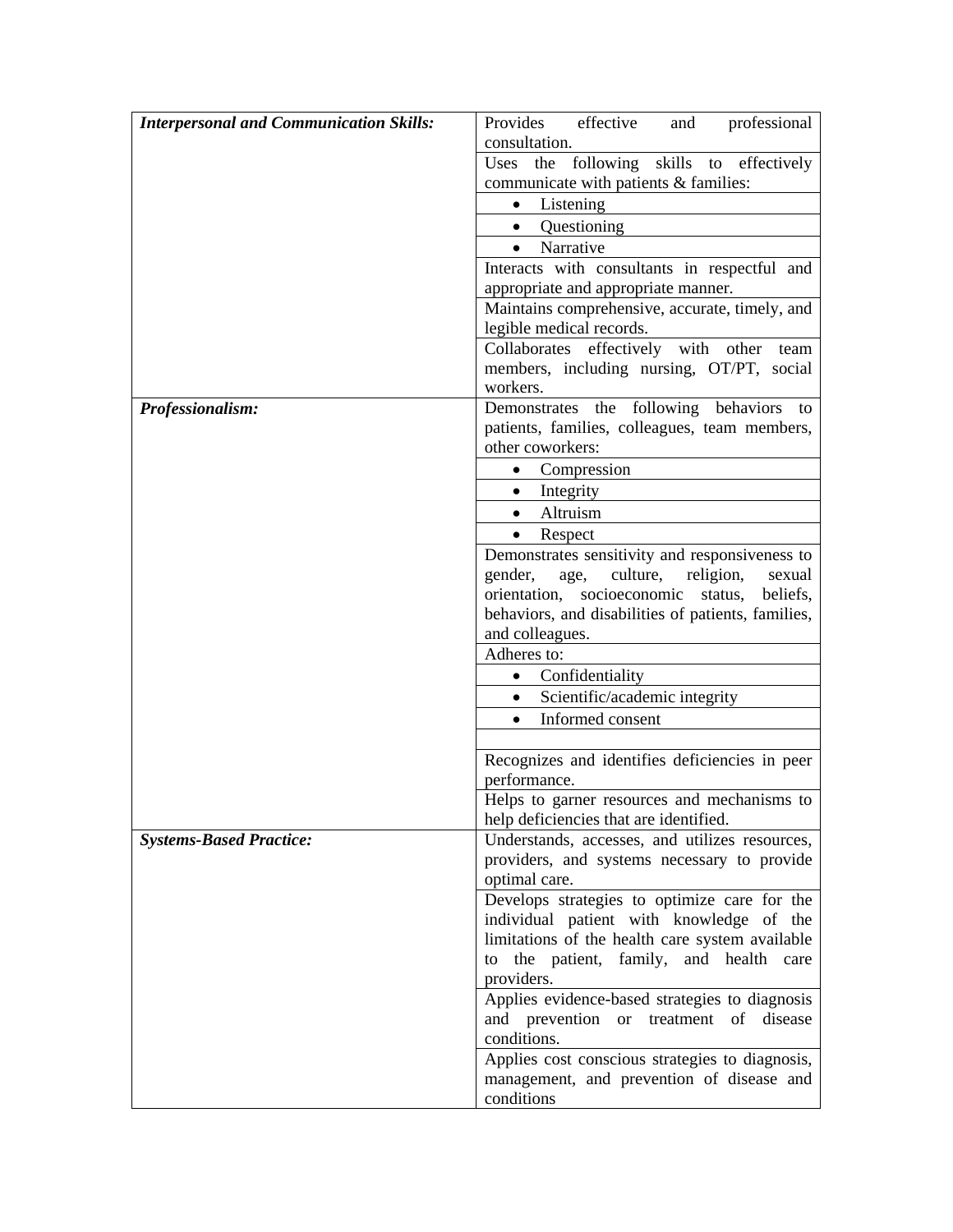| consultation.<br>Uses the following skills to effectively<br>communicate with patients & families:<br>• Listening<br>• Questioning<br>Narrative<br>$\bullet$<br>Interacts with consultants in respectful and<br>appropriate and appropriate manner.<br>Maintains comprehensive, accurate, timely, and<br>legible medical records.<br>Collaborates effectively with other<br>team<br>members, including nursing, OT/PT, social<br>workers.<br>Demonstrates the following behaviors<br>Professionalism:<br>to<br>patients, families, colleagues, team members,<br>other coworkers:<br>Compression<br>$\bullet$<br>Integrity<br>$\bullet$<br>Altruism<br>$\bullet$<br>Respect<br>Demonstrates sensitivity and responsiveness to<br>gender,<br>age,<br>culture,<br>religion,<br>sexual<br>orientation,<br>socioeconomic<br>beliefs,<br>status,<br>behaviors, and disabilities of patients, families,<br>and colleagues.<br>Adheres to:<br>• Confidentiality<br>Scientific/academic integrity<br>$\bullet$<br>Informed consent<br>$\bullet$<br>Recognizes and identifies deficiencies in peer<br>performance.<br>help deficiencies that are identified.<br><b>Systems-Based Practice:</b><br>Understands, accesses, and utilizes resources,<br>providers, and systems necessary to provide<br>optimal care.<br>Develops strategies to optimize care for the<br>individual patient with knowledge of the<br>limitations of the health care system available | <b>Interpersonal and Communication Skills:</b> | Provides<br>effective<br>professional<br>and |
|-------------------------------------------------------------------------------------------------------------------------------------------------------------------------------------------------------------------------------------------------------------------------------------------------------------------------------------------------------------------------------------------------------------------------------------------------------------------------------------------------------------------------------------------------------------------------------------------------------------------------------------------------------------------------------------------------------------------------------------------------------------------------------------------------------------------------------------------------------------------------------------------------------------------------------------------------------------------------------------------------------------------------------------------------------------------------------------------------------------------------------------------------------------------------------------------------------------------------------------------------------------------------------------------------------------------------------------------------------------------------------------------------------------------------------------------------------|------------------------------------------------|----------------------------------------------|
|                                                                                                                                                                                                                                                                                                                                                                                                                                                                                                                                                                                                                                                                                                                                                                                                                                                                                                                                                                                                                                                                                                                                                                                                                                                                                                                                                                                                                                                       |                                                |                                              |
|                                                                                                                                                                                                                                                                                                                                                                                                                                                                                                                                                                                                                                                                                                                                                                                                                                                                                                                                                                                                                                                                                                                                                                                                                                                                                                                                                                                                                                                       |                                                |                                              |
|                                                                                                                                                                                                                                                                                                                                                                                                                                                                                                                                                                                                                                                                                                                                                                                                                                                                                                                                                                                                                                                                                                                                                                                                                                                                                                                                                                                                                                                       |                                                |                                              |
|                                                                                                                                                                                                                                                                                                                                                                                                                                                                                                                                                                                                                                                                                                                                                                                                                                                                                                                                                                                                                                                                                                                                                                                                                                                                                                                                                                                                                                                       |                                                |                                              |
|                                                                                                                                                                                                                                                                                                                                                                                                                                                                                                                                                                                                                                                                                                                                                                                                                                                                                                                                                                                                                                                                                                                                                                                                                                                                                                                                                                                                                                                       |                                                |                                              |
|                                                                                                                                                                                                                                                                                                                                                                                                                                                                                                                                                                                                                                                                                                                                                                                                                                                                                                                                                                                                                                                                                                                                                                                                                                                                                                                                                                                                                                                       |                                                |                                              |
|                                                                                                                                                                                                                                                                                                                                                                                                                                                                                                                                                                                                                                                                                                                                                                                                                                                                                                                                                                                                                                                                                                                                                                                                                                                                                                                                                                                                                                                       |                                                |                                              |
|                                                                                                                                                                                                                                                                                                                                                                                                                                                                                                                                                                                                                                                                                                                                                                                                                                                                                                                                                                                                                                                                                                                                                                                                                                                                                                                                                                                                                                                       |                                                |                                              |
|                                                                                                                                                                                                                                                                                                                                                                                                                                                                                                                                                                                                                                                                                                                                                                                                                                                                                                                                                                                                                                                                                                                                                                                                                                                                                                                                                                                                                                                       |                                                |                                              |
|                                                                                                                                                                                                                                                                                                                                                                                                                                                                                                                                                                                                                                                                                                                                                                                                                                                                                                                                                                                                                                                                                                                                                                                                                                                                                                                                                                                                                                                       |                                                |                                              |
|                                                                                                                                                                                                                                                                                                                                                                                                                                                                                                                                                                                                                                                                                                                                                                                                                                                                                                                                                                                                                                                                                                                                                                                                                                                                                                                                                                                                                                                       |                                                |                                              |
|                                                                                                                                                                                                                                                                                                                                                                                                                                                                                                                                                                                                                                                                                                                                                                                                                                                                                                                                                                                                                                                                                                                                                                                                                                                                                                                                                                                                                                                       |                                                |                                              |
|                                                                                                                                                                                                                                                                                                                                                                                                                                                                                                                                                                                                                                                                                                                                                                                                                                                                                                                                                                                                                                                                                                                                                                                                                                                                                                                                                                                                                                                       |                                                |                                              |
|                                                                                                                                                                                                                                                                                                                                                                                                                                                                                                                                                                                                                                                                                                                                                                                                                                                                                                                                                                                                                                                                                                                                                                                                                                                                                                                                                                                                                                                       |                                                |                                              |
| Helps to garner resources and mechanisms to                                                                                                                                                                                                                                                                                                                                                                                                                                                                                                                                                                                                                                                                                                                                                                                                                                                                                                                                                                                                                                                                                                                                                                                                                                                                                                                                                                                                           |                                                |                                              |
|                                                                                                                                                                                                                                                                                                                                                                                                                                                                                                                                                                                                                                                                                                                                                                                                                                                                                                                                                                                                                                                                                                                                                                                                                                                                                                                                                                                                                                                       |                                                |                                              |
|                                                                                                                                                                                                                                                                                                                                                                                                                                                                                                                                                                                                                                                                                                                                                                                                                                                                                                                                                                                                                                                                                                                                                                                                                                                                                                                                                                                                                                                       |                                                |                                              |
|                                                                                                                                                                                                                                                                                                                                                                                                                                                                                                                                                                                                                                                                                                                                                                                                                                                                                                                                                                                                                                                                                                                                                                                                                                                                                                                                                                                                                                                       |                                                |                                              |
|                                                                                                                                                                                                                                                                                                                                                                                                                                                                                                                                                                                                                                                                                                                                                                                                                                                                                                                                                                                                                                                                                                                                                                                                                                                                                                                                                                                                                                                       |                                                |                                              |
|                                                                                                                                                                                                                                                                                                                                                                                                                                                                                                                                                                                                                                                                                                                                                                                                                                                                                                                                                                                                                                                                                                                                                                                                                                                                                                                                                                                                                                                       |                                                |                                              |
|                                                                                                                                                                                                                                                                                                                                                                                                                                                                                                                                                                                                                                                                                                                                                                                                                                                                                                                                                                                                                                                                                                                                                                                                                                                                                                                                                                                                                                                       |                                                |                                              |
|                                                                                                                                                                                                                                                                                                                                                                                                                                                                                                                                                                                                                                                                                                                                                                                                                                                                                                                                                                                                                                                                                                                                                                                                                                                                                                                                                                                                                                                       |                                                |                                              |
|                                                                                                                                                                                                                                                                                                                                                                                                                                                                                                                                                                                                                                                                                                                                                                                                                                                                                                                                                                                                                                                                                                                                                                                                                                                                                                                                                                                                                                                       |                                                |                                              |
|                                                                                                                                                                                                                                                                                                                                                                                                                                                                                                                                                                                                                                                                                                                                                                                                                                                                                                                                                                                                                                                                                                                                                                                                                                                                                                                                                                                                                                                       |                                                |                                              |
|                                                                                                                                                                                                                                                                                                                                                                                                                                                                                                                                                                                                                                                                                                                                                                                                                                                                                                                                                                                                                                                                                                                                                                                                                                                                                                                                                                                                                                                       |                                                |                                              |
|                                                                                                                                                                                                                                                                                                                                                                                                                                                                                                                                                                                                                                                                                                                                                                                                                                                                                                                                                                                                                                                                                                                                                                                                                                                                                                                                                                                                                                                       |                                                |                                              |
|                                                                                                                                                                                                                                                                                                                                                                                                                                                                                                                                                                                                                                                                                                                                                                                                                                                                                                                                                                                                                                                                                                                                                                                                                                                                                                                                                                                                                                                       |                                                |                                              |
|                                                                                                                                                                                                                                                                                                                                                                                                                                                                                                                                                                                                                                                                                                                                                                                                                                                                                                                                                                                                                                                                                                                                                                                                                                                                                                                                                                                                                                                       |                                                |                                              |
|                                                                                                                                                                                                                                                                                                                                                                                                                                                                                                                                                                                                                                                                                                                                                                                                                                                                                                                                                                                                                                                                                                                                                                                                                                                                                                                                                                                                                                                       |                                                |                                              |
|                                                                                                                                                                                                                                                                                                                                                                                                                                                                                                                                                                                                                                                                                                                                                                                                                                                                                                                                                                                                                                                                                                                                                                                                                                                                                                                                                                                                                                                       |                                                |                                              |
|                                                                                                                                                                                                                                                                                                                                                                                                                                                                                                                                                                                                                                                                                                                                                                                                                                                                                                                                                                                                                                                                                                                                                                                                                                                                                                                                                                                                                                                       |                                                |                                              |
|                                                                                                                                                                                                                                                                                                                                                                                                                                                                                                                                                                                                                                                                                                                                                                                                                                                                                                                                                                                                                                                                                                                                                                                                                                                                                                                                                                                                                                                       |                                                |                                              |
|                                                                                                                                                                                                                                                                                                                                                                                                                                                                                                                                                                                                                                                                                                                                                                                                                                                                                                                                                                                                                                                                                                                                                                                                                                                                                                                                                                                                                                                       |                                                |                                              |
|                                                                                                                                                                                                                                                                                                                                                                                                                                                                                                                                                                                                                                                                                                                                                                                                                                                                                                                                                                                                                                                                                                                                                                                                                                                                                                                                                                                                                                                       |                                                |                                              |
|                                                                                                                                                                                                                                                                                                                                                                                                                                                                                                                                                                                                                                                                                                                                                                                                                                                                                                                                                                                                                                                                                                                                                                                                                                                                                                                                                                                                                                                       |                                                |                                              |
|                                                                                                                                                                                                                                                                                                                                                                                                                                                                                                                                                                                                                                                                                                                                                                                                                                                                                                                                                                                                                                                                                                                                                                                                                                                                                                                                                                                                                                                       |                                                |                                              |
|                                                                                                                                                                                                                                                                                                                                                                                                                                                                                                                                                                                                                                                                                                                                                                                                                                                                                                                                                                                                                                                                                                                                                                                                                                                                                                                                                                                                                                                       |                                                |                                              |
|                                                                                                                                                                                                                                                                                                                                                                                                                                                                                                                                                                                                                                                                                                                                                                                                                                                                                                                                                                                                                                                                                                                                                                                                                                                                                                                                                                                                                                                       |                                                |                                              |
|                                                                                                                                                                                                                                                                                                                                                                                                                                                                                                                                                                                                                                                                                                                                                                                                                                                                                                                                                                                                                                                                                                                                                                                                                                                                                                                                                                                                                                                       |                                                |                                              |
|                                                                                                                                                                                                                                                                                                                                                                                                                                                                                                                                                                                                                                                                                                                                                                                                                                                                                                                                                                                                                                                                                                                                                                                                                                                                                                                                                                                                                                                       |                                                |                                              |
| the patient, family, and health care<br>to<br>providers.                                                                                                                                                                                                                                                                                                                                                                                                                                                                                                                                                                                                                                                                                                                                                                                                                                                                                                                                                                                                                                                                                                                                                                                                                                                                                                                                                                                              |                                                |                                              |
| Applies evidence-based strategies to diagnosis                                                                                                                                                                                                                                                                                                                                                                                                                                                                                                                                                                                                                                                                                                                                                                                                                                                                                                                                                                                                                                                                                                                                                                                                                                                                                                                                                                                                        |                                                |                                              |
| and prevention or treatment of disease                                                                                                                                                                                                                                                                                                                                                                                                                                                                                                                                                                                                                                                                                                                                                                                                                                                                                                                                                                                                                                                                                                                                                                                                                                                                                                                                                                                                                |                                                |                                              |
| conditions.                                                                                                                                                                                                                                                                                                                                                                                                                                                                                                                                                                                                                                                                                                                                                                                                                                                                                                                                                                                                                                                                                                                                                                                                                                                                                                                                                                                                                                           |                                                |                                              |
| Applies cost conscious strategies to diagnosis,                                                                                                                                                                                                                                                                                                                                                                                                                                                                                                                                                                                                                                                                                                                                                                                                                                                                                                                                                                                                                                                                                                                                                                                                                                                                                                                                                                                                       |                                                |                                              |
| management, and prevention of disease and                                                                                                                                                                                                                                                                                                                                                                                                                                                                                                                                                                                                                                                                                                                                                                                                                                                                                                                                                                                                                                                                                                                                                                                                                                                                                                                                                                                                             |                                                |                                              |
| conditions                                                                                                                                                                                                                                                                                                                                                                                                                                                                                                                                                                                                                                                                                                                                                                                                                                                                                                                                                                                                                                                                                                                                                                                                                                                                                                                                                                                                                                            |                                                |                                              |